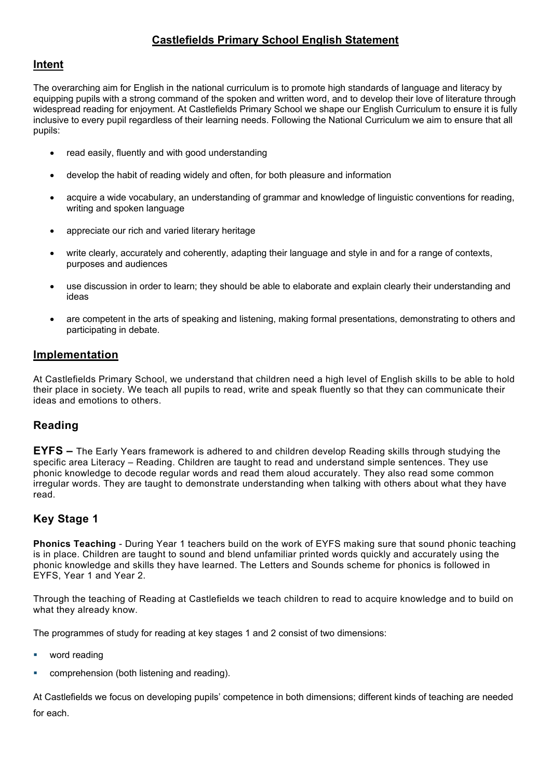# **Castlefields Primary School English Statement**

## **Intent**

The overarching aim for English in the national curriculum is to promote high standards of language and literacy by equipping pupils with a strong command of the spoken and written word, and to develop their love of literature through widespread reading for enjoyment. At Castlefields Primary School we shape our English Curriculum to ensure it is fully inclusive to every pupil regardless of their learning needs. Following the National Curriculum we aim to ensure that all pupils:

- read easily, fluently and with good understanding
- develop the habit of reading widely and often, for both pleasure and information
- acquire a wide vocabulary, an understanding of grammar and knowledge of linguistic conventions for reading, writing and spoken language
- appreciate our rich and varied literary heritage
- write clearly, accurately and coherently, adapting their language and style in and for a range of contexts, purposes and audiences
- use discussion in order to learn; they should be able to elaborate and explain clearly their understanding and ideas
- are competent in the arts of speaking and listening, making formal presentations, demonstrating to others and participating in debate.

### **Implementation**

At Castlefields Primary School, we understand that children need a high level of English skills to be able to hold their place in society. We teach all pupils to read, write and speak fluently so that they can communicate their ideas and emotions to others.

### **Reading**

**EYFS –** The Early Years framework is adhered to and children develop Reading skills through studying the specific area Literacy – Reading. Children are taught to read and understand simple sentences. They use phonic knowledge to decode regular words and read them aloud accurately. They also read some common irregular words. They are taught to demonstrate understanding when talking with others about what they have read.

### **Key Stage 1**

**Phonics Teaching** - During Year 1 teachers build on the work of EYFS making sure that sound phonic teaching is in place. Children are taught to sound and blend unfamiliar printed words quickly and accurately using the phonic knowledge and skills they have learned. The Letters and Sounds scheme for phonics is followed in EYFS, Year 1 and Year 2.

Through the teaching of Reading at Castlefields we teach children to read to acquire knowledge and to build on what they already know.

The programmes of study for reading at key stages 1 and 2 consist of two dimensions:

- word reading
- comprehension (both listening and reading).

At Castlefields we focus on developing pupils' competence in both dimensions; different kinds of teaching are needed for each.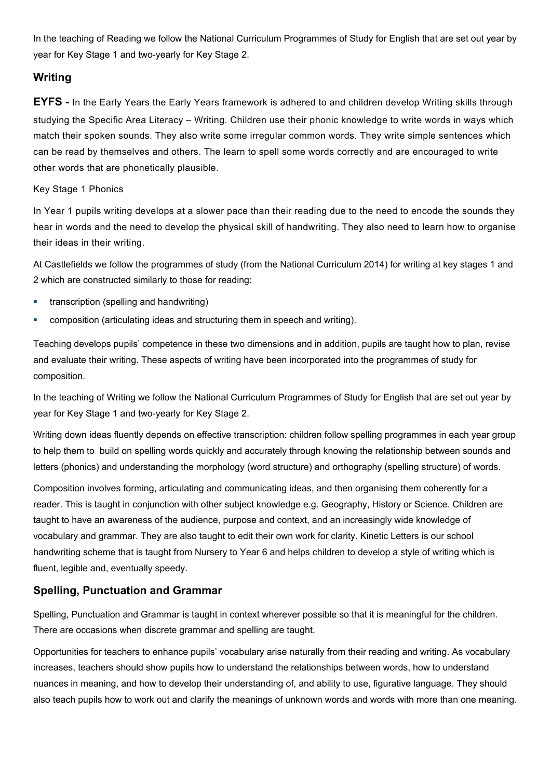In the teaching of Reading we follow the National Curriculum Programmes of Study for English that are set out year by year for Key Stage 1 and two-yearly for Key Stage 2.

## **Writing**

**EYFS -** In the Early Years the Early Years framework is adhered to and children develop Writing skills through studying the Specific Area Literacy – Writing. Children use their phonic knowledge to write words in ways which match their spoken sounds. They also write some irregular common words. They write simple sentences which can be read by themselves and others. The learn to spell some words correctly and are encouraged to write other words that are phonetically plausible.

#### Key Stage 1 Phonics

In Year 1 pupils writing develops at a slower pace than their reading due to the need to encode the sounds they hear in words and the need to develop the physical skill of handwriting. They also need to learn how to organise their ideas in their writing.

At Castlefields we follow the programmes of study (from the National Curriculum 2014) for writing at key stages 1 and 2 which are constructed similarly to those for reading:

- **transcription (spelling and handwriting)**
- composition (articulating ideas and structuring them in speech and writing).

Teaching develops pupils' competence in these two dimensions and in addition, pupils are taught how to plan, revise and evaluate their writing. These aspects of writing have been incorporated into the programmes of study for composition.

In the teaching of Writing we follow the National Curriculum Programmes of Study for English that are set out year by year for Key Stage 1 and two-yearly for Key Stage 2.

Writing down ideas fluently depends on effective transcription: children follow spelling programmes in each year group to help them to build on spelling words quickly and accurately through knowing the relationship between sounds and letters (phonics) and understanding the morphology (word structure) and orthography (spelling structure) of words.

Composition involves forming, articulating and communicating ideas, and then organising them coherently for a reader. This is taught in conjunction with other subject knowledge e.g. Geography, History or Science. Children are taught to have an awareness of the audience, purpose and context, and an increasingly wide knowledge of vocabulary and grammar. They are also taught to edit their own work for clarity. Kinetic Letters is our school handwriting scheme that is taught from Nursery to Year 6 and helps children to develop a style of writing which is fluent, legible and, eventually speedy.

### **Spelling, Punctuation and Grammar**

Spelling, Punctuation and Grammar is taught in context wherever possible so that it is meaningful for the children. There are occasions when discrete grammar and spelling are taught.

Opportunities for teachers to enhance pupils' vocabulary arise naturally from their reading and writing. As vocabulary increases, teachers should show pupils how to understand the relationships between words, how to understand nuances in meaning, and how to develop their understanding of, and ability to use, figurative language. They should also teach pupils how to work out and clarify the meanings of unknown words and words with more than one meaning.